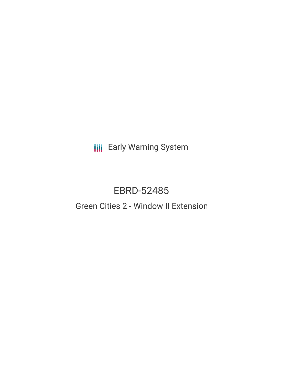**III** Early Warning System

# EBRD-52485

# Green Cities 2 - Window II Extension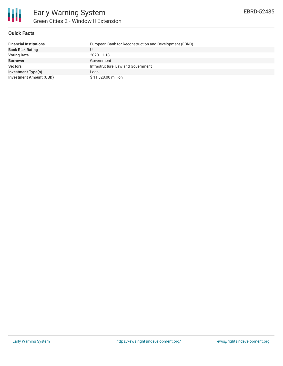

#### **Quick Facts**

| <b>Financial Institutions</b>  | European Bank for Reconstruction and Development (EBRD) |
|--------------------------------|---------------------------------------------------------|
| <b>Bank Risk Rating</b>        |                                                         |
| <b>Voting Date</b>             | 2020-11-18                                              |
| <b>Borrower</b>                | Government                                              |
| <b>Sectors</b>                 | Infrastructure, Law and Government                      |
| <b>Investment Type(s)</b>      | Loan                                                    |
| <b>Investment Amount (USD)</b> | \$11,528.00 million                                     |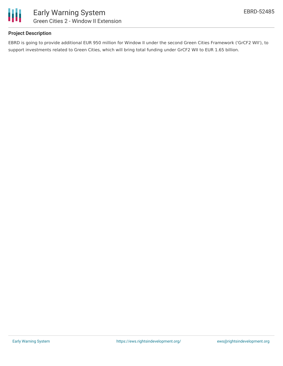

#### **Project Description**

EBRD is going to provide additional EUR 950 million for Window II under the second Green Cities Framework ('GrCF2 WII'), to support investments related to Green Cities, which will bring total funding under GrCF2 WII to EUR 1.65 billion.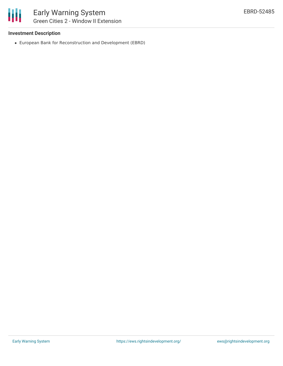#### **Investment Description**

European Bank for Reconstruction and Development (EBRD)